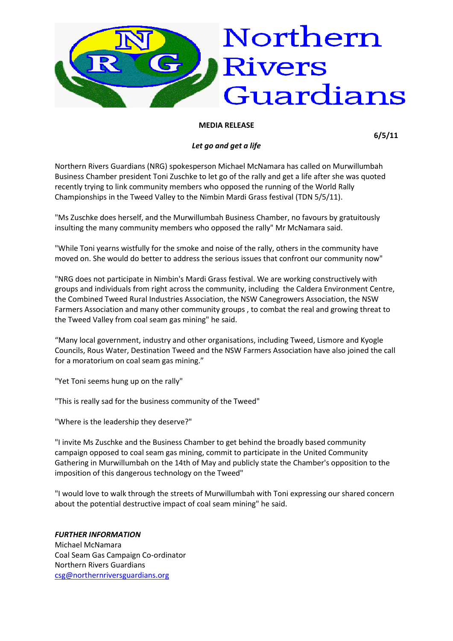

## **MEDIA RELEASE**

**6/5/11**

## *Let go and get a life*

Northern Rivers Guardians (NRG) spokesperson Michael McNamara has called on Murwillumbah Business Chamber president Toni Zuschke to let go of the rally and get a life after she was quoted recently trying to link community members who opposed the running of the World Rally Championships in the Tweed Valley to the Nimbin Mardi Grass festival (TDN 5/5/11).

"Ms Zuschke does herself, and the Murwillumbah Business Chamber, no favours by gratuitously insulting the many community members who opposed the rally" Mr McNamara said.

"While Toni yearns wistfully for the smoke and noise of the rally, others in the community have moved on. She would do better to address the serious issues that confront our community now"

"NRG does not participate in Nimbin's Mardi Grass festival. We are working constructively with groups and individuals from right across the community, including the Caldera Environment Centre, the Combined Tweed Rural Industries Association, the NSW Canegrowers Association, the NSW Farmers Association and many other community groups , to combat the real and growing threat to the Tweed Valley from coal seam gas mining" he said.

"Many local government, industry and other organisations, including Tweed, Lismore and Kyogle Councils, Rous Water, Destination Tweed and the NSW Farmers Association have also joined the call for a moratorium on coal seam gas mining."

"Yet Toni seems hung up on the rally"

"This is really sad for the business community of the Tweed"

"Where is the leadership they deserve?"

"I invite Ms Zuschke and the Business Chamber to get behind the broadly based community campaign opposed to coal seam gas mining, commit to participate in the United Community Gathering in Murwillumbah on the 14th of May and publicly state the Chamber's opposition to the imposition of this dangerous technology on the Tweed"

"I would love to walk through the streets of Murwillumbah with Toni expressing our shared concern about the potential destructive impact of coal seam mining" he said.

## *FURTHER INFORMATION*

Michael McNamara Coal Seam Gas Campaign Co-ordinator Northern Rivers Guardians [csg@northernriversguardians.org](mailto:csg@northernriversguardians.org)